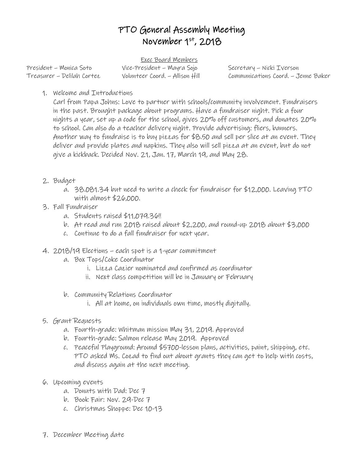## PTO General Assembly Meeting November 1st, 2018

Exec Board Members President – Monica Soto Vice-President – Mayra Sojo Secretary – Nicki Iverson

Treasurer – Delilah Cortez Volunteer Coord. – Allison Hill Communications Coord. – Jenne Baker

1. Welcome and Introductions

Carl from Papa Johns: Love to partner with schools/community involvement. Fundraisers in the past. Brought package about programs. Have a fundraiser night. Pick a four nights a year, set up a code for the school, gives 20% off customers, and donates 20% to school. Can also do a teacher delivery night. Provide advertising: fliers, banners. Another way to fundraise is to buy pizzas for \$8.50 and sell per slice at an event. They deliver and provide plates and napkins. They also will sell pizza at an event, but do not give a kickback. Decided Nov. 21, Jan. 17, March 19, and May 28.

- 2. Budget
	- a. 38.081.34 but need to write a check for fundraiser for \$12,000. Leaving PTO with almost \$26,000.
- 3. Fall Fundraiser
	- a. Students raised \$11,079.36!!
	- b. At read and run 2018 raised about \$2,200, and round-up 2018 about \$3,000
	- c. Continue to do a fall fundraiser for next year.
- 4. 2018/19 Elections each spot is a 1-year commitment
	- a. Box Tops/Coke Coordinator
		- i. Lizza Cazier nominated and confirmed as coordinator
		- ii. Next class competition will be in January or February
	- b. Community Relations Coordinator
		- i. All at home, on individuals own time, mostly digitally.
- 5. Grant Requests
	- a. Fourth-grade: Whitman mission May 31, 2019. Approved
	- b. Fourth-grade: Salmon release May 2019. Approved
	- c. Peaceful Playground: Around \$5700-lesson plans, activities, paint, shipping, etc. PTO asked Ms. Cozad to find out about grants they can get to help with costs, and discuss again at the next meeting.
- 6. Upcoming events
	- a. Donuts with Dad: Dec 7
	- b. Book Fair: Nov. 29-Dec 7
	- c. Christmas Shoppe: Dec 10-13
- 7. December Meeting date